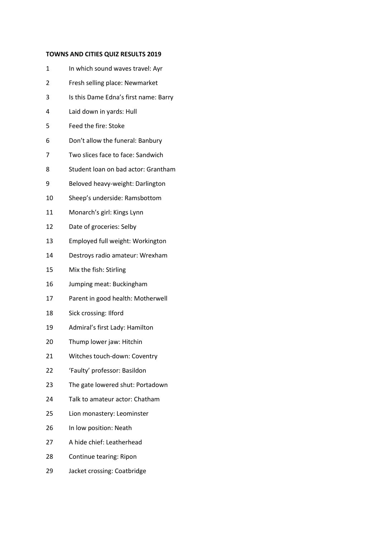## **TOWNS AND CITIES QUIZ RESULTS 2019**

- 1 In which sound waves travel: Ayr
- Fresh selling place: Newmarket
- Is this Dame Edna's first name: Barry
- Laid down in yards: Hull
- Feed the fire: Stoke
- Don't allow the funeral: Banbury
- Two slices face to face: Sandwich
- Student loan on bad actor: Grantham
- Beloved heavy-weight: Darlington
- Sheep's underside: Ramsbottom
- Monarch's girl: Kings Lynn
- Date of groceries: Selby
- Employed full weight: Workington
- Destroys radio amateur: Wrexham
- Mix the fish: Stirling
- Jumping meat: Buckingham
- Parent in good health: Motherwell
- Sick crossing: Ilford
- Admiral's first Lady: Hamilton
- Thump lower jaw: Hitchin
- Witches touch-down: Coventry
- 'Faulty' professor: Basildon
- The gate lowered shut: Portadown
- Talk to amateur actor: Chatham
- Lion monastery: Leominster
- In low position: Neath
- A hide chief: Leatherhead
- Continue tearing: Ripon
- Jacket crossing: Coatbridge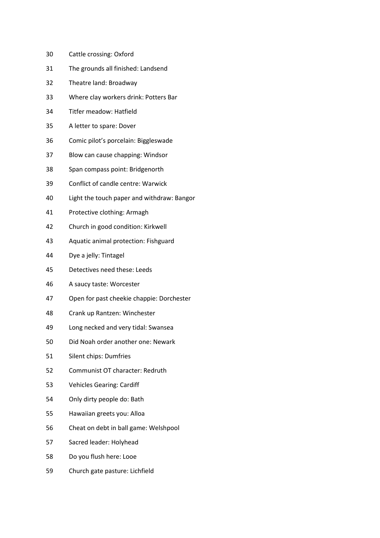- Cattle crossing: Oxford
- The grounds all finished: Landsend
- Theatre land: Broadway
- Where clay workers drink: Potters Bar
- Titfer meadow: Hatfield
- A letter to spare: Dover
- Comic pilot's porcelain: Biggleswade
- Blow can cause chapping: Windsor
- Span compass point: Bridgenorth
- Conflict of candle centre: Warwick
- Light the touch paper and withdraw: Bangor
- Protective clothing: Armagh
- Church in good condition: Kirkwell
- Aquatic animal protection: Fishguard
- Dye a jelly: Tintagel
- Detectives need these: Leeds
- A saucy taste: Worcester
- Open for past cheekie chappie: Dorchester
- Crank up Rantzen: Winchester
- Long necked and very tidal: Swansea
- Did Noah order another one: Newark
- Silent chips: Dumfries
- Communist OT character: Redruth
- Vehicles Gearing: Cardiff
- Only dirty people do: Bath
- Hawaiian greets you: Alloa
- Cheat on debt in ball game: Welshpool
- Sacred leader: Holyhead
- Do you flush here: Looe
- Church gate pasture: Lichfield